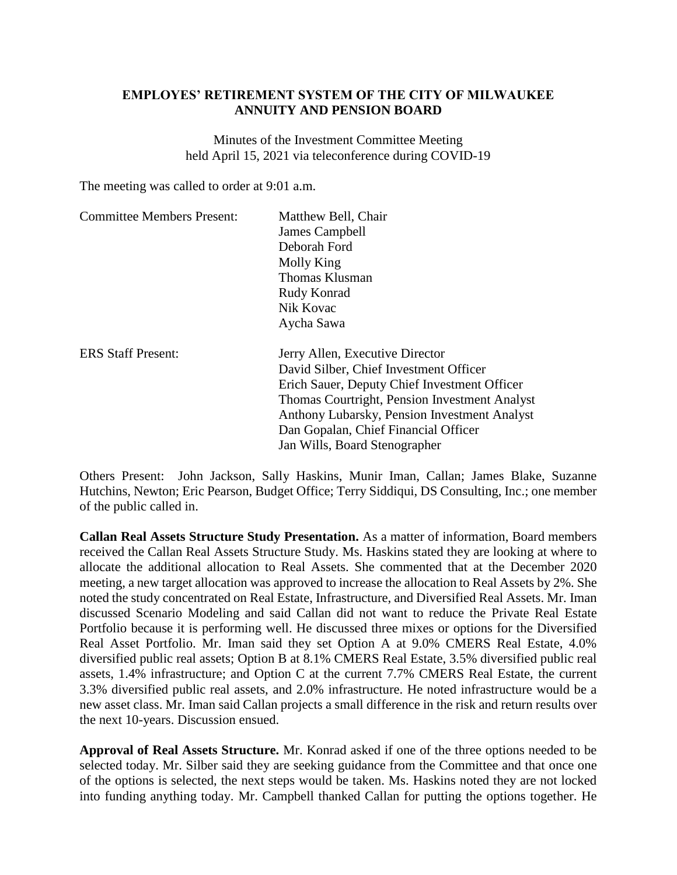## **EMPLOYES' RETIREMENT SYSTEM OF THE CITY OF MILWAUKEE ANNUITY AND PENSION BOARD**

Minutes of the Investment Committee Meeting held April 15, 2021 via teleconference during COVID-19

The meeting was called to order at 9:01 a.m.

| <b>Committee Members Present:</b> | Matthew Bell, Chair<br>James Campbell<br>Deborah Ford<br>Molly King<br>Thomas Klusman<br>Rudy Konrad<br>Nik Kovac<br>Aycha Sawa                                                                                                                                                                     |
|-----------------------------------|-----------------------------------------------------------------------------------------------------------------------------------------------------------------------------------------------------------------------------------------------------------------------------------------------------|
| <b>ERS Staff Present:</b>         | Jerry Allen, Executive Director<br>David Silber, Chief Investment Officer<br>Erich Sauer, Deputy Chief Investment Officer<br>Thomas Courtright, Pension Investment Analyst<br>Anthony Lubarsky, Pension Investment Analyst<br>Dan Gopalan, Chief Financial Officer<br>Jan Wills, Board Stenographer |

Others Present: John Jackson, Sally Haskins, Munir Iman, Callan; James Blake, Suzanne Hutchins, Newton; Eric Pearson, Budget Office; Terry Siddiqui, DS Consulting, Inc.; one member of the public called in.

**Callan Real Assets Structure Study Presentation.** As a matter of information, Board members received the Callan Real Assets Structure Study. Ms. Haskins stated they are looking at where to allocate the additional allocation to Real Assets. She commented that at the December 2020 meeting, a new target allocation was approved to increase the allocation to Real Assets by 2%. She noted the study concentrated on Real Estate, Infrastructure, and Diversified Real Assets. Mr. Iman discussed Scenario Modeling and said Callan did not want to reduce the Private Real Estate Portfolio because it is performing well. He discussed three mixes or options for the Diversified Real Asset Portfolio. Mr. Iman said they set Option A at 9.0% CMERS Real Estate, 4.0% diversified public real assets; Option B at 8.1% CMERS Real Estate, 3.5% diversified public real assets, 1.4% infrastructure; and Option C at the current 7.7% CMERS Real Estate, the current 3.3% diversified public real assets, and 2.0% infrastructure. He noted infrastructure would be a new asset class. Mr. Iman said Callan projects a small difference in the risk and return results over the next 10-years. Discussion ensued.

**Approval of Real Assets Structure.** Mr. Konrad asked if one of the three options needed to be selected today. Mr. Silber said they are seeking guidance from the Committee and that once one of the options is selected, the next steps would be taken. Ms. Haskins noted they are not locked into funding anything today. Mr. Campbell thanked Callan for putting the options together. He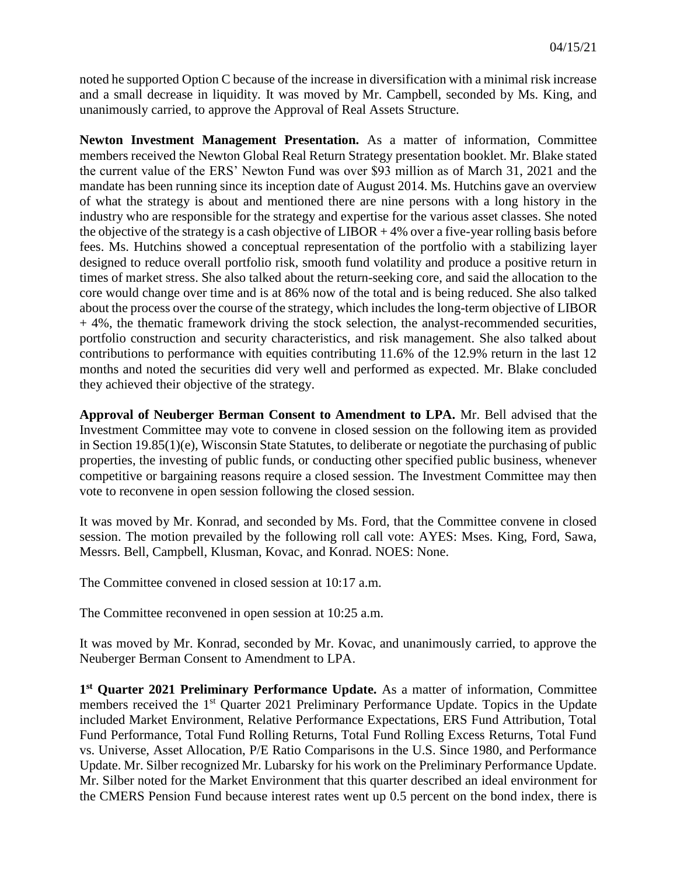noted he supported Option C because of the increase in diversification with a minimal risk increase and a small decrease in liquidity. It was moved by Mr. Campbell, seconded by Ms. King, and unanimously carried, to approve the Approval of Real Assets Structure.

**Newton Investment Management Presentation.** As a matter of information, Committee members received the Newton Global Real Return Strategy presentation booklet. Mr. Blake stated the current value of the ERS' Newton Fund was over \$93 million as of March 31, 2021 and the mandate has been running since its inception date of August 2014. Ms. Hutchins gave an overview of what the strategy is about and mentioned there are nine persons with a long history in the industry who are responsible for the strategy and expertise for the various asset classes. She noted the objective of the strategy is a cash objective of  $LIBOR + 4\%$  over a five-year rolling basis before fees. Ms. Hutchins showed a conceptual representation of the portfolio with a stabilizing layer designed to reduce overall portfolio risk, smooth fund volatility and produce a positive return in times of market stress. She also talked about the return-seeking core, and said the allocation to the core would change over time and is at 86% now of the total and is being reduced. She also talked about the process over the course of the strategy, which includes the long-term objective of LIBOR  $+4\%$ , the thematic framework driving the stock selection, the analyst-recommended securities, portfolio construction and security characteristics, and risk management. She also talked about contributions to performance with equities contributing 11.6% of the 12.9% return in the last 12 months and noted the securities did very well and performed as expected. Mr. Blake concluded they achieved their objective of the strategy.

**Approval of Neuberger Berman Consent to Amendment to LPA.** Mr. Bell advised that the Investment Committee may vote to convene in closed session on the following item as provided in Section 19.85(1)(e), Wisconsin State Statutes, to deliberate or negotiate the purchasing of public properties, the investing of public funds, or conducting other specified public business, whenever competitive or bargaining reasons require a closed session. The Investment Committee may then vote to reconvene in open session following the closed session.

It was moved by Mr. Konrad, and seconded by Ms. Ford, that the Committee convene in closed session. The motion prevailed by the following roll call vote: AYES: Mses. King, Ford, Sawa, Messrs. Bell, Campbell, Klusman, Kovac, and Konrad. NOES: None.

The Committee convened in closed session at 10:17 a.m.

The Committee reconvened in open session at 10:25 a.m.

It was moved by Mr. Konrad, seconded by Mr. Kovac, and unanimously carried, to approve the Neuberger Berman Consent to Amendment to LPA.

**1 st Quarter 2021 Preliminary Performance Update.** As a matter of information, Committee members received the 1<sup>st</sup> Quarter 2021 Preliminary Performance Update. Topics in the Update included Market Environment, Relative Performance Expectations, ERS Fund Attribution, Total Fund Performance, Total Fund Rolling Returns, Total Fund Rolling Excess Returns, Total Fund vs. Universe, Asset Allocation, P/E Ratio Comparisons in the U.S. Since 1980, and Performance Update. Mr. Silber recognized Mr. Lubarsky for his work on the Preliminary Performance Update. Mr. Silber noted for the Market Environment that this quarter described an ideal environment for the CMERS Pension Fund because interest rates went up 0.5 percent on the bond index, there is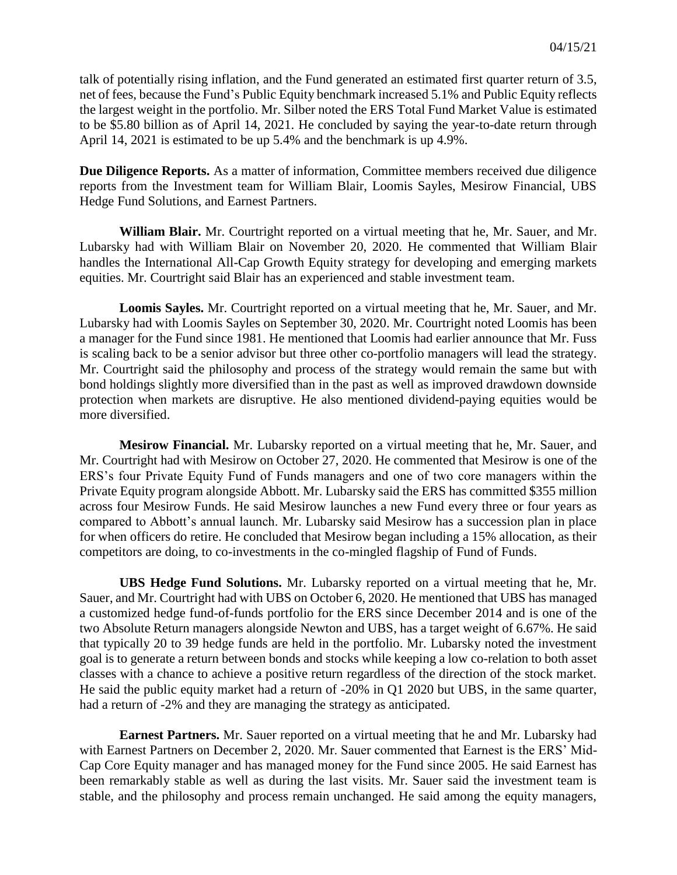talk of potentially rising inflation, and the Fund generated an estimated first quarter return of 3.5, net of fees, because the Fund's Public Equity benchmark increased 5.1% and Public Equity reflects the largest weight in the portfolio. Mr. Silber noted the ERS Total Fund Market Value is estimated to be \$5.80 billion as of April 14, 2021. He concluded by saying the year-to-date return through April 14, 2021 is estimated to be up 5.4% and the benchmark is up 4.9%.

**Due Diligence Reports.** As a matter of information, Committee members received due diligence reports from the Investment team for William Blair, Loomis Sayles, Mesirow Financial, UBS Hedge Fund Solutions, and Earnest Partners.

**William Blair.** Mr. Courtright reported on a virtual meeting that he, Mr. Sauer, and Mr. Lubarsky had with William Blair on November 20, 2020. He commented that William Blair handles the International All-Cap Growth Equity strategy for developing and emerging markets equities. Mr. Courtright said Blair has an experienced and stable investment team.

**Loomis Sayles.** Mr. Courtright reported on a virtual meeting that he, Mr. Sauer, and Mr. Lubarsky had with Loomis Sayles on September 30, 2020. Mr. Courtright noted Loomis has been a manager for the Fund since 1981. He mentioned that Loomis had earlier announce that Mr. Fuss is scaling back to be a senior advisor but three other co-portfolio managers will lead the strategy. Mr. Courtright said the philosophy and process of the strategy would remain the same but with bond holdings slightly more diversified than in the past as well as improved drawdown downside protection when markets are disruptive. He also mentioned dividend-paying equities would be more diversified.

**Mesirow Financial.** Mr. Lubarsky reported on a virtual meeting that he, Mr. Sauer, and Mr. Courtright had with Mesirow on October 27, 2020. He commented that Mesirow is one of the ERS's four Private Equity Fund of Funds managers and one of two core managers within the Private Equity program alongside Abbott. Mr. Lubarsky said the ERS has committed \$355 million across four Mesirow Funds. He said Mesirow launches a new Fund every three or four years as compared to Abbott's annual launch. Mr. Lubarsky said Mesirow has a succession plan in place for when officers do retire. He concluded that Mesirow began including a 15% allocation, as their competitors are doing, to co-investments in the co-mingled flagship of Fund of Funds.

**UBS Hedge Fund Solutions.** Mr. Lubarsky reported on a virtual meeting that he, Mr. Sauer, and Mr. Courtright had with UBS on October 6, 2020. He mentioned that UBS has managed a customized hedge fund-of-funds portfolio for the ERS since December 2014 and is one of the two Absolute Return managers alongside Newton and UBS, has a target weight of 6.67%. He said that typically 20 to 39 hedge funds are held in the portfolio. Mr. Lubarsky noted the investment goal is to generate a return between bonds and stocks while keeping a low co-relation to both asset classes with a chance to achieve a positive return regardless of the direction of the stock market. He said the public equity market had a return of -20% in Q1 2020 but UBS, in the same quarter, had a return of -2% and they are managing the strategy as anticipated.

**Earnest Partners.** Mr. Sauer reported on a virtual meeting that he and Mr. Lubarsky had with Earnest Partners on December 2, 2020. Mr. Sauer commented that Earnest is the ERS' Mid-Cap Core Equity manager and has managed money for the Fund since 2005. He said Earnest has been remarkably stable as well as during the last visits. Mr. Sauer said the investment team is stable, and the philosophy and process remain unchanged. He said among the equity managers,